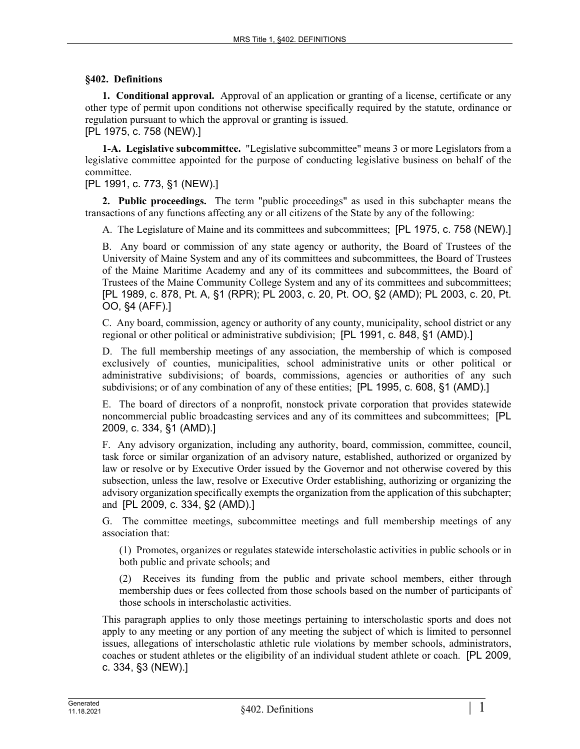### **§402. Definitions**

**1. Conditional approval.** Approval of an application or granting of a license, certificate or any other type of permit upon conditions not otherwise specifically required by the statute, ordinance or regulation pursuant to which the approval or granting is issued.

[PL 1975, c. 758 (NEW).]

**1-A. Legislative subcommittee.** "Legislative subcommittee" means 3 or more Legislators from a legislative committee appointed for the purpose of conducting legislative business on behalf of the committee.

# [PL 1991, c. 773, §1 (NEW).]

**2. Public proceedings.** The term "public proceedings" as used in this subchapter means the transactions of any functions affecting any or all citizens of the State by any of the following:

A. The Legislature of Maine and its committees and subcommittees; [PL 1975, c. 758 (NEW).]

B. Any board or commission of any state agency or authority, the Board of Trustees of the University of Maine System and any of its committees and subcommittees, the Board of Trustees of the Maine Maritime Academy and any of its committees and subcommittees, the Board of Trustees of the Maine Community College System and any of its committees and subcommittees; [PL 1989, c. 878, Pt. A, §1 (RPR); PL 2003, c. 20, Pt. OO, §2 (AMD); PL 2003, c. 20, Pt. OO, §4 (AFF).]

C. Any board, commission, agency or authority of any county, municipality, school district or any regional or other political or administrative subdivision; [PL 1991, c. 848, §1 (AMD).]

D. The full membership meetings of any association, the membership of which is composed exclusively of counties, municipalities, school administrative units or other political or administrative subdivisions; of boards, commissions, agencies or authorities of any such subdivisions; or of any combination of any of these entities; [PL 1995, c. 608, §1 (AMD).]

E. The board of directors of a nonprofit, nonstock private corporation that provides statewide noncommercial public broadcasting services and any of its committees and subcommittees; [PL 2009, c. 334, §1 (AMD).]

F. Any advisory organization, including any authority, board, commission, committee, council, task force or similar organization of an advisory nature, established, authorized or organized by law or resolve or by Executive Order issued by the Governor and not otherwise covered by this subsection, unless the law, resolve or Executive Order establishing, authorizing or organizing the advisory organization specifically exempts the organization from the application of this subchapter; and [PL 2009, c. 334, §2 (AMD).]

G. The committee meetings, subcommittee meetings and full membership meetings of any association that:

(1) Promotes, organizes or regulates statewide interscholastic activities in public schools or in both public and private schools; and

(2) Receives its funding from the public and private school members, either through membership dues or fees collected from those schools based on the number of participants of those schools in interscholastic activities.

This paragraph applies to only those meetings pertaining to interscholastic sports and does not apply to any meeting or any portion of any meeting the subject of which is limited to personnel issues, allegations of interscholastic athletic rule violations by member schools, administrators, coaches or student athletes or the eligibility of an individual student athlete or coach. [PL 2009, c. 334, §3 (NEW).]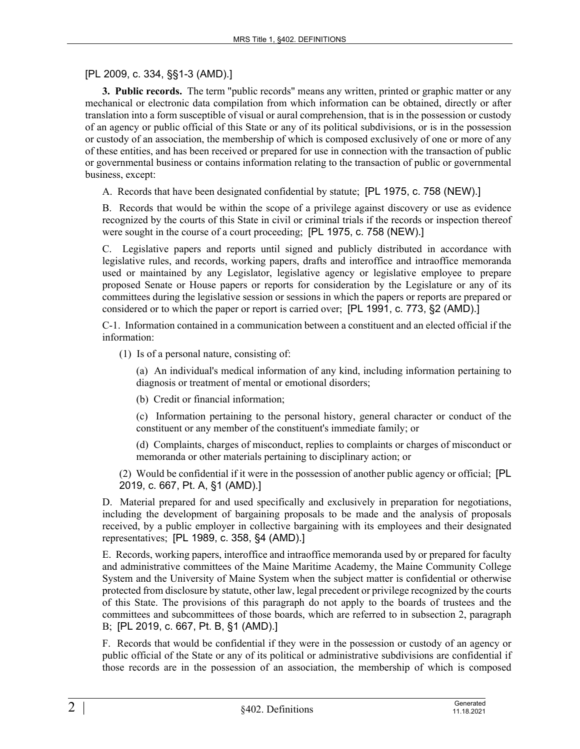# [PL 2009, c. 334, §§1-3 (AMD).]

**3. Public records.** The term "public records" means any written, printed or graphic matter or any mechanical or electronic data compilation from which information can be obtained, directly or after translation into a form susceptible of visual or aural comprehension, that is in the possession or custody of an agency or public official of this State or any of its political subdivisions, or is in the possession or custody of an association, the membership of which is composed exclusively of one or more of any of these entities, and has been received or prepared for use in connection with the transaction of public or governmental business or contains information relating to the transaction of public or governmental business, except:

A. Records that have been designated confidential by statute; [PL 1975, c. 758 (NEW).]

B. Records that would be within the scope of a privilege against discovery or use as evidence recognized by the courts of this State in civil or criminal trials if the records or inspection thereof were sought in the course of a court proceeding; [PL 1975, c. 758 (NEW).]

C. Legislative papers and reports until signed and publicly distributed in accordance with legislative rules, and records, working papers, drafts and interoffice and intraoffice memoranda used or maintained by any Legislator, legislative agency or legislative employee to prepare proposed Senate or House papers or reports for consideration by the Legislature or any of its committees during the legislative session or sessions in which the papers or reports are prepared or considered or to which the paper or report is carried over; [PL 1991, c. 773, §2 (AMD).]

C-1. Information contained in a communication between a constituent and an elected official if the information:

(1) Is of a personal nature, consisting of:

(a) An individual's medical information of any kind, including information pertaining to diagnosis or treatment of mental or emotional disorders;

(b) Credit or financial information;

(c) Information pertaining to the personal history, general character or conduct of the constituent or any member of the constituent's immediate family; or

(d) Complaints, charges of misconduct, replies to complaints or charges of misconduct or memoranda or other materials pertaining to disciplinary action; or

(2) Would be confidential if it were in the possession of another public agency or official; [PL 2019, c. 667, Pt. A, §1 (AMD).]

D. Material prepared for and used specifically and exclusively in preparation for negotiations, including the development of bargaining proposals to be made and the analysis of proposals received, by a public employer in collective bargaining with its employees and their designated representatives; [PL 1989, c. 358, §4 (AMD).]

E. Records, working papers, interoffice and intraoffice memoranda used by or prepared for faculty and administrative committees of the Maine Maritime Academy, the Maine Community College System and the University of Maine System when the subject matter is confidential or otherwise protected from disclosure by statute, other law, legal precedent or privilege recognized by the courts of this State. The provisions of this paragraph do not apply to the boards of trustees and the committees and subcommittees of those boards, which are referred to in subsection 2, paragraph B; [PL 2019, c. 667, Pt. B, §1 (AMD).]

F. Records that would be confidential if they were in the possession or custody of an agency or public official of the State or any of its political or administrative subdivisions are confidential if those records are in the possession of an association, the membership of which is composed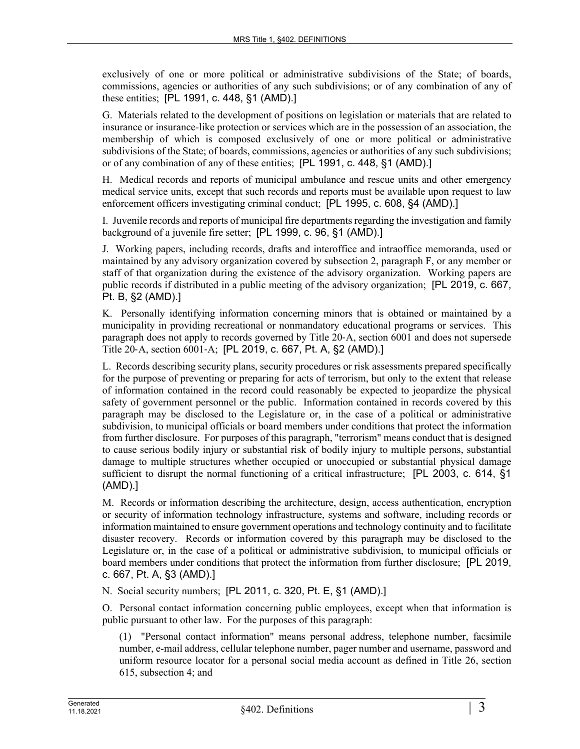exclusively of one or more political or administrative subdivisions of the State; of boards, commissions, agencies or authorities of any such subdivisions; or of any combination of any of these entities; [PL 1991, c. 448, §1 (AMD).]

G. Materials related to the development of positions on legislation or materials that are related to insurance or insurance-like protection or services which are in the possession of an association, the membership of which is composed exclusively of one or more political or administrative subdivisions of the State; of boards, commissions, agencies or authorities of any such subdivisions; or of any combination of any of these entities; [PL 1991, c. 448, §1 (AMD).]

H. Medical records and reports of municipal ambulance and rescue units and other emergency medical service units, except that such records and reports must be available upon request to law enforcement officers investigating criminal conduct; [PL 1995, c. 608, §4 (AMD).]

I. Juvenile records and reports of municipal fire departments regarding the investigation and family background of a juvenile fire setter; [PL 1999, c. 96, §1 (AMD).]

J. Working papers, including records, drafts and interoffice and intraoffice memoranda, used or maintained by any advisory organization covered by subsection 2, paragraph F, or any member or staff of that organization during the existence of the advisory organization. Working papers are public records if distributed in a public meeting of the advisory organization; [PL 2019, c. 667, Pt. B, §2 (AMD).]

K. Personally identifying information concerning minors that is obtained or maintained by a municipality in providing recreational or nonmandatory educational programs or services. This paragraph does not apply to records governed by Title 20‑A, section 6001 and does not supersede Title 20‑A, section 6001‑A; [PL 2019, c. 667, Pt. A, §2 (AMD).]

L. Records describing security plans, security procedures or risk assessments prepared specifically for the purpose of preventing or preparing for acts of terrorism, but only to the extent that release of information contained in the record could reasonably be expected to jeopardize the physical safety of government personnel or the public. Information contained in records covered by this paragraph may be disclosed to the Legislature or, in the case of a political or administrative subdivision, to municipal officials or board members under conditions that protect the information from further disclosure. For purposes of this paragraph, "terrorism" means conduct that is designed to cause serious bodily injury or substantial risk of bodily injury to multiple persons, substantial damage to multiple structures whether occupied or unoccupied or substantial physical damage sufficient to disrupt the normal functioning of a critical infrastructure; [PL 2003, c. 614, §1 (AMD).]

M. Records or information describing the architecture, design, access authentication, encryption or security of information technology infrastructure, systems and software, including records or information maintained to ensure government operations and technology continuity and to facilitate disaster recovery. Records or information covered by this paragraph may be disclosed to the Legislature or, in the case of a political or administrative subdivision, to municipal officials or board members under conditions that protect the information from further disclosure; [PL 2019, c. 667, Pt. A, §3 (AMD).]

N. Social security numbers; [PL 2011, c. 320, Pt. E, §1 (AMD).]

O. Personal contact information concerning public employees, except when that information is public pursuant to other law. For the purposes of this paragraph:

(1) "Personal contact information" means personal address, telephone number, facsimile number, e-mail address, cellular telephone number, pager number and username, password and uniform resource locator for a personal social media account as defined in Title 26, section 615, subsection 4; and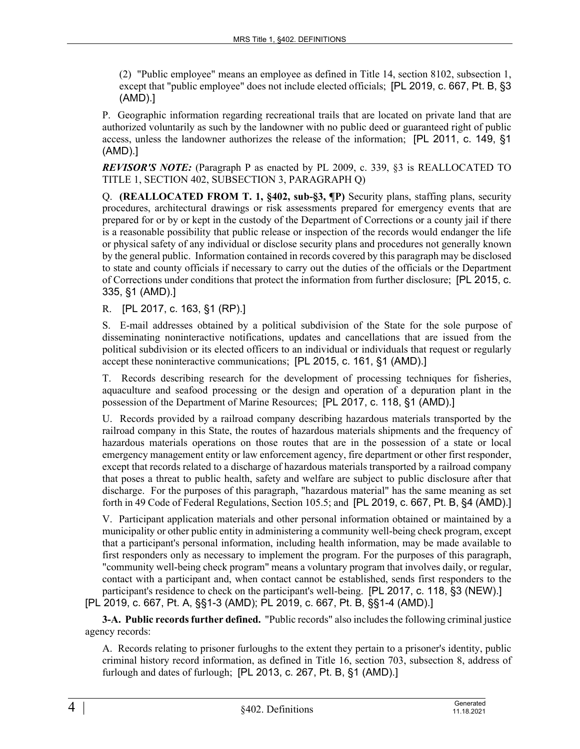(2) "Public employee" means an employee as defined in Title 14, section 8102, subsection 1, except that "public employee" does not include elected officials; [PL 2019, c. 667, Pt. B, §3 (AMD).]

P. Geographic information regarding recreational trails that are located on private land that are authorized voluntarily as such by the landowner with no public deed or guaranteed right of public access, unless the landowner authorizes the release of the information; [PL 2011, c. 149, §1 (AMD).]

*REVISOR'S NOTE:* (Paragraph P as enacted by PL 2009, c. 339, §3 is REALLOCATED TO TITLE 1, SECTION 402, SUBSECTION 3, PARAGRAPH Q)

Q. **(REALLOCATED FROM T. 1, §402, sub-§3, ¶P)** Security plans, staffing plans, security procedures, architectural drawings or risk assessments prepared for emergency events that are prepared for or by or kept in the custody of the Department of Corrections or a county jail if there is a reasonable possibility that public release or inspection of the records would endanger the life or physical safety of any individual or disclose security plans and procedures not generally known by the general public. Information contained in records covered by this paragraph may be disclosed to state and county officials if necessary to carry out the duties of the officials or the Department of Corrections under conditions that protect the information from further disclosure; [PL 2015, c. 335, §1 (AMD).]

R. [PL 2017, c. 163, §1 (RP).]

S. E-mail addresses obtained by a political subdivision of the State for the sole purpose of disseminating noninteractive notifications, updates and cancellations that are issued from the political subdivision or its elected officers to an individual or individuals that request or regularly accept these noninteractive communications; [PL 2015, c. 161, §1 (AMD).]

T. Records describing research for the development of processing techniques for fisheries, aquaculture and seafood processing or the design and operation of a depuration plant in the possession of the Department of Marine Resources; [PL 2017, c. 118, §1 (AMD).]

U. Records provided by a railroad company describing hazardous materials transported by the railroad company in this State, the routes of hazardous materials shipments and the frequency of hazardous materials operations on those routes that are in the possession of a state or local emergency management entity or law enforcement agency, fire department or other first responder, except that records related to a discharge of hazardous materials transported by a railroad company that poses a threat to public health, safety and welfare are subject to public disclosure after that discharge. For the purposes of this paragraph, "hazardous material" has the same meaning as set forth in 49 Code of Federal Regulations, Section 105.5; and [PL 2019, c. 667, Pt. B, §4 (AMD).]

V. Participant application materials and other personal information obtained or maintained by a municipality or other public entity in administering a community well-being check program, except that a participant's personal information, including health information, may be made available to first responders only as necessary to implement the program. For the purposes of this paragraph, "community well-being check program" means a voluntary program that involves daily, or regular, contact with a participant and, when contact cannot be established, sends first responders to the participant's residence to check on the participant's well-being. [PL 2017, c. 118, §3 (NEW).] [PL 2019, c. 667, Pt. A, §§1-3 (AMD); PL 2019, c. 667, Pt. B, §§1-4 (AMD).]

**3-A. Public records further defined.** "Public records" also includes the following criminal justice agency records:

A. Records relating to prisoner furloughs to the extent they pertain to a prisoner's identity, public criminal history record information, as defined in Title 16, section 703, subsection 8, address of furlough and dates of furlough; [PL 2013, c. 267, Pt. B, §1 (AMD).]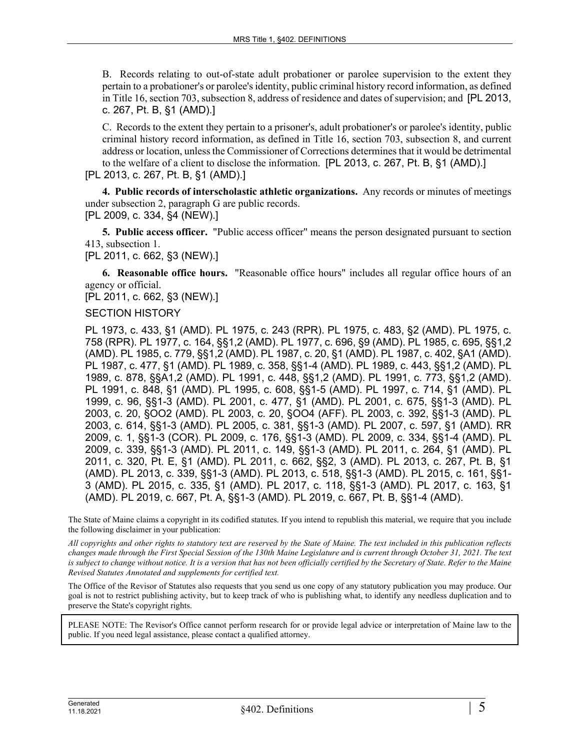B. Records relating to out-of-state adult probationer or parolee supervision to the extent they pertain to a probationer's or parolee's identity, public criminal history record information, as defined in Title 16, section 703, subsection 8, address of residence and dates of supervision; and [PL 2013, c. 267, Pt. B, §1 (AMD).]

C. Records to the extent they pertain to a prisoner's, adult probationer's or parolee's identity, public criminal history record information, as defined in Title 16, section 703, subsection 8, and current address or location, unless the Commissioner of Corrections determines that it would be detrimental to the welfare of a client to disclose the information. [PL 2013, c. 267, Pt. B, §1 (AMD).]

[PL 2013, c. 267, Pt. B, §1 (AMD).]

**4. Public records of interscholastic athletic organizations.** Any records or minutes of meetings under subsection 2, paragraph G are public records.

### [PL 2009, c. 334, §4 (NEW).]

**5. Public access officer.** "Public access officer" means the person designated pursuant to section 413, subsection 1.

[PL 2011, c. 662, §3 (NEW).]

**6. Reasonable office hours.** "Reasonable office hours" includes all regular office hours of an agency or official.

[PL 2011, c. 662, §3 (NEW).]

#### SECTION HISTORY

PL 1973, c. 433, §1 (AMD). PL 1975, c. 243 (RPR). PL 1975, c. 483, §2 (AMD). PL 1975, c. 758 (RPR). PL 1977, c. 164, §§1,2 (AMD). PL 1977, c. 696, §9 (AMD). PL 1985, c. 695, §§1,2 (AMD). PL 1985, c. 779, §§1,2 (AMD). PL 1987, c. 20, §1 (AMD). PL 1987, c. 402, §A1 (AMD). PL 1987, c. 477, §1 (AMD). PL 1989, c. 358, §§1-4 (AMD). PL 1989, c. 443, §§1,2 (AMD). PL 1989, c. 878, §§A1,2 (AMD). PL 1991, c. 448, §§1,2 (AMD). PL 1991, c. 773, §§1,2 (AMD). PL 1991, c. 848, §1 (AMD). PL 1995, c. 608, §§1-5 (AMD). PL 1997, c. 714, §1 (AMD). PL 1999, c. 96, §§1-3 (AMD). PL 2001, c. 477, §1 (AMD). PL 2001, c. 675, §§1-3 (AMD). PL 2003, c. 20, §OO2 (AMD). PL 2003, c. 20, §OO4 (AFF). PL 2003, c. 392, §§1-3 (AMD). PL 2003, c. 614, §§1-3 (AMD). PL 2005, c. 381, §§1-3 (AMD). PL 2007, c. 597, §1 (AMD). RR 2009, c. 1, §§1-3 (COR). PL 2009, c. 176, §§1-3 (AMD). PL 2009, c. 334, §§1-4 (AMD). PL 2009, c. 339, §§1-3 (AMD). PL 2011, c. 149, §§1-3 (AMD). PL 2011, c. 264, §1 (AMD). PL 2011, c. 320, Pt. E, §1 (AMD). PL 2011, c. 662, §§2, 3 (AMD). PL 2013, c. 267, Pt. B, §1 (AMD). PL 2013, c. 339, §§1-3 (AMD). PL 2013, c. 518, §§1-3 (AMD). PL 2015, c. 161, §§1- 3 (AMD). PL 2015, c. 335, §1 (AMD). PL 2017, c. 118, §§1-3 (AMD). PL 2017, c. 163, §1 (AMD). PL 2019, c. 667, Pt. A, §§1-3 (AMD). PL 2019, c. 667, Pt. B, §§1-4 (AMD).

The State of Maine claims a copyright in its codified statutes. If you intend to republish this material, we require that you include the following disclaimer in your publication:

*All copyrights and other rights to statutory text are reserved by the State of Maine. The text included in this publication reflects changes made through the First Special Session of the 130th Maine Legislature and is current through October 31, 2021. The text*  is subject to change without notice. It is a version that has not been officially certified by the Secretary of State. Refer to the Maine *Revised Statutes Annotated and supplements for certified text.*

The Office of the Revisor of Statutes also requests that you send us one copy of any statutory publication you may produce. Our goal is not to restrict publishing activity, but to keep track of who is publishing what, to identify any needless duplication and to preserve the State's copyright rights.

PLEASE NOTE: The Revisor's Office cannot perform research for or provide legal advice or interpretation of Maine law to the public. If you need legal assistance, please contact a qualified attorney.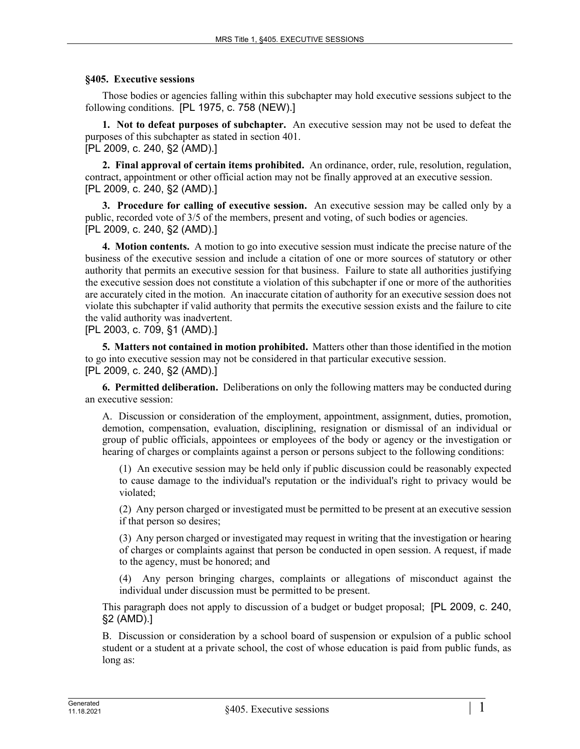#### **§405. Executive sessions**

Those bodies or agencies falling within this subchapter may hold executive sessions subject to the following conditions. [PL 1975, c. 758 (NEW).]

**1. Not to defeat purposes of subchapter.** An executive session may not be used to defeat the purposes of this subchapter as stated in section 401. [PL 2009, c. 240, §2 (AMD).]

**2. Final approval of certain items prohibited.** An ordinance, order, rule, resolution, regulation, contract, appointment or other official action may not be finally approved at an executive session. [PL 2009, c. 240, §2 (AMD).]

**3. Procedure for calling of executive session.** An executive session may be called only by a public, recorded vote of 3/5 of the members, present and voting, of such bodies or agencies. [PL 2009, c. 240, §2 (AMD).]

**4. Motion contents.** A motion to go into executive session must indicate the precise nature of the business of the executive session and include a citation of one or more sources of statutory or other authority that permits an executive session for that business. Failure to state all authorities justifying the executive session does not constitute a violation of this subchapter if one or more of the authorities are accurately cited in the motion. An inaccurate citation of authority for an executive session does not violate this subchapter if valid authority that permits the executive session exists and the failure to cite the valid authority was inadvertent.

[PL 2003, c. 709, §1 (AMD).]

**5. Matters not contained in motion prohibited.** Matters other than those identified in the motion to go into executive session may not be considered in that particular executive session. [PL 2009, c. 240, §2 (AMD).]

**6. Permitted deliberation.** Deliberations on only the following matters may be conducted during an executive session:

A. Discussion or consideration of the employment, appointment, assignment, duties, promotion, demotion, compensation, evaluation, disciplining, resignation or dismissal of an individual or group of public officials, appointees or employees of the body or agency or the investigation or hearing of charges or complaints against a person or persons subject to the following conditions:

(1) An executive session may be held only if public discussion could be reasonably expected to cause damage to the individual's reputation or the individual's right to privacy would be violated;

(2) Any person charged or investigated must be permitted to be present at an executive session if that person so desires;

(3) Any person charged or investigated may request in writing that the investigation or hearing of charges or complaints against that person be conducted in open session. A request, if made to the agency, must be honored; and

(4) Any person bringing charges, complaints or allegations of misconduct against the individual under discussion must be permitted to be present.

This paragraph does not apply to discussion of a budget or budget proposal; [PL 2009, c. 240, §2 (AMD).]

B. Discussion or consideration by a school board of suspension or expulsion of a public school student or a student at a private school, the cost of whose education is paid from public funds, as long as: